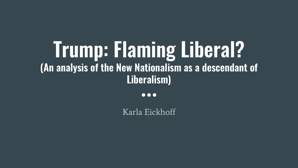## Trump: Flaming Liberal? (An analysis of the New Nationalism as a descendant of Liberalism)

 $\bullet\bullet\bullet$ 

Karla Eickhoff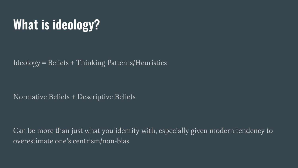## What is ideology?

Ideology = Beliefs + Thinking Patterns/Heuristics

Normative Beliefs + Descriptive Beliefs

Can be more than just what you identify with, especially given modern tendency to overestimate one's centrism/non-bias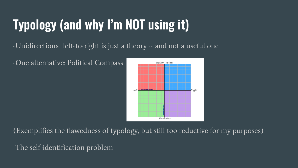# Typology (and why I'm NOT using it)

#### -Unidirectional left-to-right is just a theory -- and not a useful one

-One alternative: Political Compass



(Exemplifies the flawedness of typology, but still too reductive for my purposes)

-The self-identification problem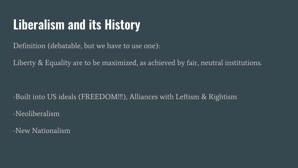#### Liberalism and its History

Definition (debatable, but we have to use one):

Liberty & Equality are to be maximized, as achieved by fair, neutral institutions.

-Built into US ideals (FREEDOM!!!), Alliances with Leftism & Rightism

-Neoliberalism

-New Nationalism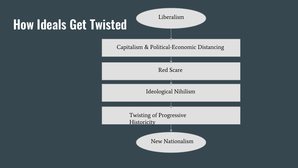#### How Ideals Get Twisted

Liberalism

Capitalism & Political-Economic Distancing

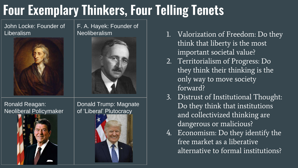### Four Exemplary Thinkers, Four Telling Tenets

John Locke: Founder of Liberalism



F. A. Hayek: Founder of Neoliberalism



Ronald Reagan: Neoliberal Policymaker



Donald Trump: Magnate of 'Liberal' Plutocracy



- 1. Valorization of Freedom: Do they think that liberty is the most important societal value?
- 2. Territorialism of Progress: Do they think their thinking is the only way to move society forward?
- 3. Distrust of Institutional Thought: Do they think that institutions and collectivized thinking are dangerous or malicious?
- 4. Economism: Do they identify the free market as a liberative alternative to formal institutions?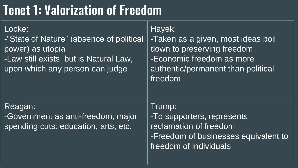#### Tenet 1: Valorization of Freedom

| Locke:<br>-"State of Nature" (absence of political<br>power) as utopia<br>-Law still exists, but is Natural Law,<br>upon which any person can judge | Hayek:<br>-Taken as a given, most ideas boil<br>down to preserving freedom<br>-Economic freedom as more<br>authentic/permanent than political<br>freedom |
|-----------------------------------------------------------------------------------------------------------------------------------------------------|----------------------------------------------------------------------------------------------------------------------------------------------------------|
| Reagan:<br>-Government as anti-freedom, major<br>spending cuts: education, arts, etc.                                                               | Trump:<br>-To supporters, represents<br>reclamation of freedom<br>-Freedom of businesses equivalent to<br>freedom of individuals                         |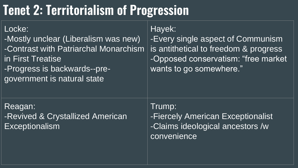#### Tenet 2: Territorialism of Progression

| Locke:<br>-Mostly unclear (Liberalism was new)<br>-Contrast with Patriarchal Monarchism<br>in First Treatise<br>-Progress is backwards--pre-<br>government is natural state | Hayek:<br>-Every single aspect of Communism<br>is antithetical to freedom & progress<br>-Opposed conservatism: "free market<br>wants to go somewhere." |
|-----------------------------------------------------------------------------------------------------------------------------------------------------------------------------|--------------------------------------------------------------------------------------------------------------------------------------------------------|
| Reagan:<br>-Revived & Crystallized American<br>Exceptionalism                                                                                                               | Trump:<br>-Fiercely American Exceptionalist<br>-Claims ideological ancestors /w<br>convenience                                                         |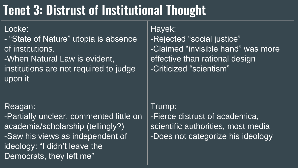### Tenet 3: Distrust of Institutional Thought

Locke: - "State of Nature" utopia is absence of institutions. -When Natural Law is evident, institutions are not required to judge

Hayek: -Rejected "social justice" -Claimed "invisible hand" was more effective than rational design -Criticized "scientism"

#### Reagan:

upon it

-Partially unclear, commented little on academia/scholarship (tellingly?) -Saw his views as independent of ideology: "I didn't leave the Democrats, they left me"

-Fierce distrust of academica, scientific authorities, most media -Does not categorize his ideology

Trump: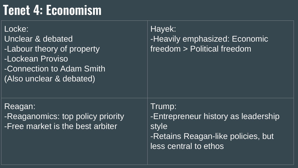#### Tenet 4: Economism

| Locke:<br><b>Unclear &amp; debated</b><br>-Labour theory of property<br>-Lockean Proviso<br>-Connection to Adam Smith<br>(Also unclear & debated) | Hayek:<br>-Heavily emphasized: Economic<br>freedom > Political freedom                                                |
|---------------------------------------------------------------------------------------------------------------------------------------------------|-----------------------------------------------------------------------------------------------------------------------|
| Reagan:<br>-Reaganomics: top policy priority<br>-Free market is the best arbiter                                                                  | Trump:<br>-Entrepreneur history as leadership<br>style<br>-Retains Reagan-like policies, but<br>less central to ethos |